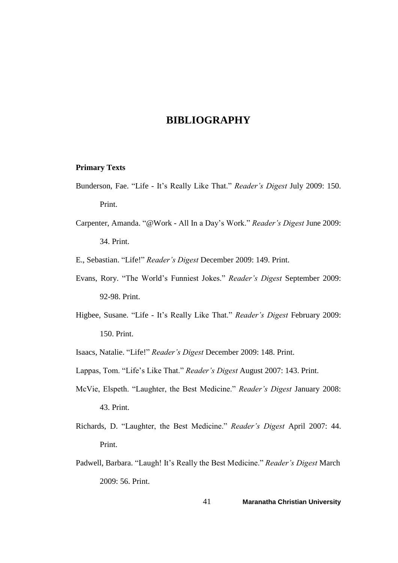## **BIBLIOGRAPHY**

## **Primary Texts**

- Bunderson, Fae. "Life It's Really Like That." *Reader's Digest* July 2009: 150. Print.
- Carpenter, Amanda. "@Work All In a Day's Work." *Reader's Digest* June 2009: 34. Print.

E., Sebastian. "Life!" *Reader's Digest* December 2009: 149. Print.

- Evans, Rory. "The World's Funniest Jokes." *Reader's Digest* September 2009: 92-98. Print.
- Higbee, Susane. "Life It's Really Like That." *Reader's Digest* February 2009: 150. Print.

Isaacs, Natalie. "Life!" *Reader's Digest* December 2009: 148. Print.

Lappas, Tom. "Life's Like That." *Reader's Digest* August 2007: 143. Print.

- McVie, Elspeth. "Laughter, the Best Medicine." *Reader's Digest* January 2008: 43. Print.
- Richards, D. "Laughter, the Best Medicine." *Reader's Digest* April 2007: 44. Print.
- Padwell, Barbara. "Laugh! It's Really the Best Medicine." *Reader's Digest* March 2009: 56. Print.

41 **Maranatha Christian University**